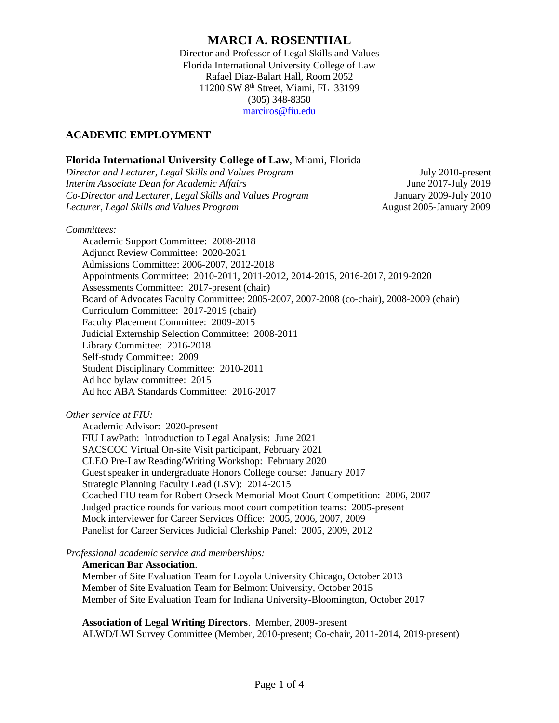# **MARCI A. ROSENTHAL**

Director and Professor of Legal Skills and Values Florida International University College of Law Rafael Diaz-Balart Hall, Room 2052 11200 SW 8th Street, Miami, FL 33199 (305) 348-8350 [marciros@fiu.edu](mailto:marciros@fiu.edu)

# **ACADEMIC EMPLOYMENT**

### **Florida International University College of Law**, Miami, Florida

*Director and Lecturer, Legal Skills and Values Program* July 2010-present *Interim Associate Dean for Academic Affairs* June 2017-July 2019 *Co-Director and Lecturer, Legal Skills and Values Program* January 2009-July 2010 *Lecturer, Legal Skills and Values Program* August 2005-January 2009

*Committees:*

Academic Support Committee: 2008-2018 Adjunct Review Committee: 2020-2021 Admissions Committee: 2006-2007, 2012-2018 Appointments Committee: 2010-2011, 2011-2012, 2014-2015, 2016-2017, 2019-2020 Assessments Committee: 2017-present (chair) Board of Advocates Faculty Committee: 2005-2007, 2007-2008 (co-chair), 2008-2009 (chair) Curriculum Committee: 2017-2019 (chair) Faculty Placement Committee: 2009-2015 Judicial Externship Selection Committee: 2008-2011 Library Committee: 2016-2018 Self-study Committee: 2009 Student Disciplinary Committee: 2010-2011 Ad hoc bylaw committee: 2015 Ad hoc ABA Standards Committee: 2016-2017

### *Other service at FIU:*

Academic Advisor: 2020-present FIU LawPath: Introduction to Legal Analysis: June 2021 SACSCOC Virtual On-site Visit participant, February 2021 CLEO Pre-Law Reading/Writing Workshop: February 2020 Guest speaker in undergraduate Honors College course: January 2017 Strategic Planning Faculty Lead (LSV): 2014-2015 Coached FIU team for Robert Orseck Memorial Moot Court Competition: 2006, 2007 Judged practice rounds for various moot court competition teams: 2005-present Mock interviewer for Career Services Office: 2005, 2006, 2007, 2009 Panelist for Career Services Judicial Clerkship Panel: 2005, 2009, 2012

*Professional academic service and memberships:*

### **American Bar Association**.

Member of Site Evaluation Team for Loyola University Chicago, October 2013 Member of Site Evaluation Team for Belmont University, October 2015 Member of Site Evaluation Team for Indiana University-Bloomington, October 2017

**Association of Legal Writing Directors**. Member, 2009-present

ALWD/LWI Survey Committee (Member, 2010-present; Co-chair, 2011-2014, 2019-present)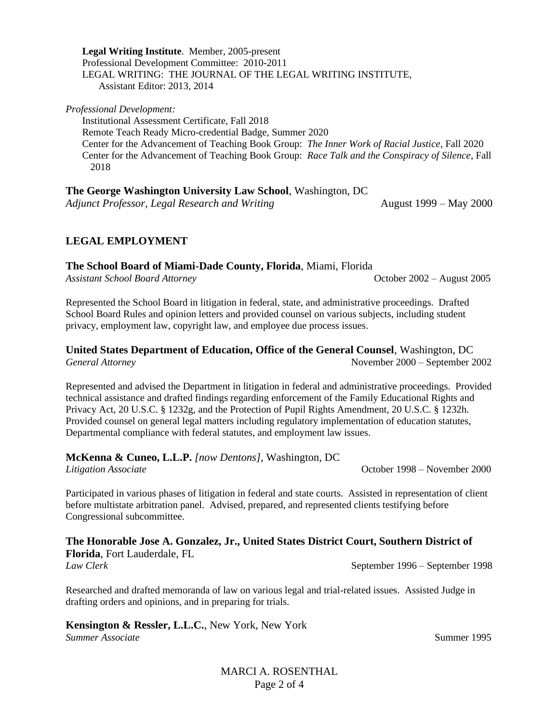**Legal Writing Institute**. Member, 2005-present Professional Development Committee: 2010-2011 LEGAL WRITING: THE JOURNAL OF THE LEGAL WRITING INSTITUTE, Assistant Editor: 2013, 2014

*Professional Development:*

Institutional Assessment Certificate, Fall 2018 Remote Teach Ready Micro-credential Badge, Summer 2020 Center for the Advancement of Teaching Book Group: *The Inner Work of Racial Justice*, Fall 2020 Center for the Advancement of Teaching Book Group: *Race Talk and the Conspiracy of Silence*, Fall 2018

**The George Washington University Law School**, Washington, DC

*Adjunct Professor, Legal Research and Writing* August 1999 – May 2000

## **LEGAL EMPLOYMENT**

**The School Board of Miami-Dade County, Florida**, Miami, Florida

*Assistant School Board Attorney* October 2002 – August 2005

Represented the School Board in litigation in federal, state, and administrative proceedings. Drafted School Board Rules and opinion letters and provided counsel on various subjects, including student privacy, employment law, copyright law, and employee due process issues.

### **United States Department of Education, Office of the General Counsel**, Washington, DC *General Attorney* November 2000 – September 2002

Represented and advised the Department in litigation in federal and administrative proceedings. Provided technical assistance and drafted findings regarding enforcement of the Family Educational Rights and Privacy Act, 20 U.S.C. § 1232g, and the Protection of Pupil Rights Amendment, 20 U.S.C. § 1232h. Provided counsel on general legal matters including regulatory implementation of education statutes, Departmental compliance with federal statutes, and employment law issues.

## **McKenna & Cuneo, L.L.P.** *[now Dentons]*, Washington, DC

*Litigation Associate* October 1998 – November 2000

Participated in various phases of litigation in federal and state courts. Assisted in representation of client before multistate arbitration panel. Advised, prepared, and represented clients testifying before Congressional subcommittee.

### **The Honorable Jose A. Gonzalez, Jr., United States District Court, Southern District of Florida**, Fort Lauderdale, FL

*Law Clerk* September 1996 – September 1998

Researched and drafted memoranda of law on various legal and trial-related issues. Assisted Judge in drafting orders and opinions, and in preparing for trials.

#### **Kensington & Ressler, L.L.C.**, New York, New York **Summer Associate** Summer 1995

MARCI A. ROSENTHAL Page 2 of 4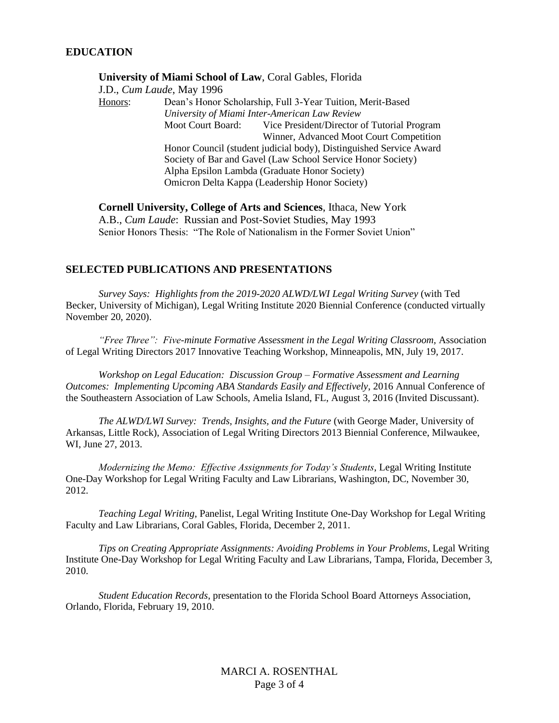#### **University of Miami School of Law**, Coral Gables, Florida

J.D., *Cum Laude*, May 1996 Honors: Dean's Honor Scholarship, Full 3-Year Tuition, Merit-Based *University of Miami Inter-American Law Review* Moot Court Board: Vice President/Director of Tutorial Program Winner, Advanced Moot Court Competition Honor Council (student judicial body), Distinguished Service Award Society of Bar and Gavel (Law School Service Honor Society) Alpha Epsilon Lambda (Graduate Honor Society) Omicron Delta Kappa (Leadership Honor Society)

**Cornell University, College of Arts and Sciences**, Ithaca, New York A.B., *Cum Laude*: Russian and Post-Soviet Studies, May 1993 Senior Honors Thesis: "The Role of Nationalism in the Former Soviet Union"

#### **SELECTED PUBLICATIONS AND PRESENTATIONS**

*Survey Says: Highlights from the 2019-2020 ALWD/LWI Legal Writing Survey* (with Ted Becker, University of Michigan), Legal Writing Institute 2020 Biennial Conference (conducted virtually November 20, 2020).

"*Free Three": Five-minute Formative Assessment in the Legal Writing Classroom, Association* of Legal Writing Directors 2017 Innovative Teaching Workshop, Minneapolis, MN, July 19, 2017.

*Workshop on Legal Education: Discussion Group – Formative Assessment and Learning Outcomes: Implementing Upcoming ABA Standards Easily and Effectively*, 2016 Annual Conference of the Southeastern Association of Law Schools, Amelia Island, FL, August 3, 2016 (Invited Discussant).

*The ALWD/LWI Survey: Trends, Insights, and the Future* (with George Mader, University of Arkansas, Little Rock), Association of Legal Writing Directors 2013 Biennial Conference, Milwaukee, WI, June 27, 2013.

*Modernizing the Memo: Effective Assignments for Today's Students*, Legal Writing Institute One-Day Workshop for Legal Writing Faculty and Law Librarians, Washington, DC, November 30, 2012.

*Teaching Legal Writing*, Panelist, Legal Writing Institute One-Day Workshop for Legal Writing Faculty and Law Librarians, Coral Gables, Florida, December 2, 2011.

*Tips on Creating Appropriate Assignments: Avoiding Problems in Your Problems*, Legal Writing Institute One-Day Workshop for Legal Writing Faculty and Law Librarians, Tampa, Florida, December 3, 2010.

*Student Education Records*, presentation to the Florida School Board Attorneys Association, Orlando, Florida, February 19, 2010.